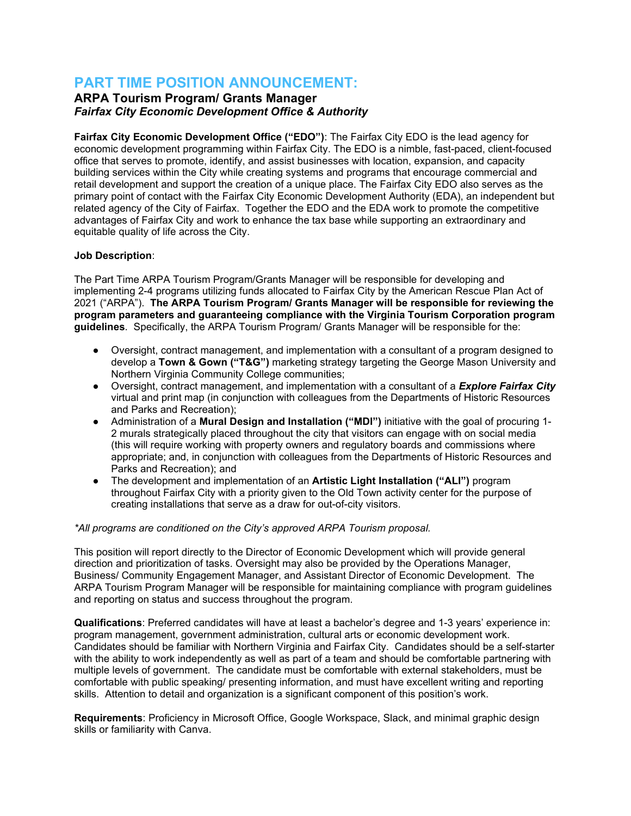# **PART TIME POSITION ANNOUNCEMENT:**

# **ARPA Tourism Program/ Grants Manager** *Fairfax City Economic Development Office & Authority*

**Fairfax City Economic Development Office ("EDO")**: The Fairfax City EDO is the lead agency for economic development programming within Fairfax City. The EDO is a nimble, fast-paced, client-focused office that serves to promote, identify, and assist businesses with location, expansion, and capacity building services within the City while creating systems and programs that encourage commercial and retail development and support the creation of a unique place. The Fairfax City EDO also serves as the primary point of contact with the Fairfax City Economic Development Authority (EDA), an independent but related agency of the City of Fairfax. Together the EDO and the EDA work to promote the competitive advantages of Fairfax City and work to enhance the tax base while supporting an extraordinary and equitable quality of life across the City.

## **Job Description**:

The Part Time ARPA Tourism Program/Grants Manager will be responsible for developing and implementing 2-4 programs utilizing funds allocated to Fairfax City by the American Rescue Plan Act of 2021 ("ARPA"). **The ARPA Tourism Program/ Grants Manager will be responsible for reviewing the program parameters and guaranteeing compliance with the Virginia Tourism Corporation program guidelines**. Specifically, the ARPA Tourism Program/ Grants Manager will be responsible for the:

- Oversight, contract management, and implementation with a consultant of a program designed to develop a **Town & Gown ("T&G")** marketing strategy targeting the George Mason University and Northern Virginia Community College communities;
- Oversight, contract management, and implementation with a consultant of a *Explore Fairfax City* virtual and print map (in conjunction with colleagues from the Departments of Historic Resources and Parks and Recreation);
- Administration of a **Mural Design and Installation ("MDI")** initiative with the goal of procuring 1- 2 murals strategically placed throughout the city that visitors can engage with on social media (this will require working with property owners and regulatory boards and commissions where appropriate; and, in conjunction with colleagues from the Departments of Historic Resources and Parks and Recreation); and
- The development and implementation of an **Artistic Light Installation ("ALI")** program throughout Fairfax City with a priority given to the Old Town activity center for the purpose of creating installations that serve as a draw for out-of-city visitors.

#### *\*All programs are conditioned on the City's approved ARPA Tourism proposal.*

This position will report directly to the Director of Economic Development which will provide general direction and prioritization of tasks. Oversight may also be provided by the Operations Manager, Business/ Community Engagement Manager, and Assistant Director of Economic Development. The ARPA Tourism Program Manager will be responsible for maintaining compliance with program guidelines and reporting on status and success throughout the program.

**Qualifications**: Preferred candidates will have at least a bachelor's degree and 1-3 years' experience in: program management, government administration, cultural arts or economic development work. Candidates should be familiar with Northern Virginia and Fairfax City. Candidates should be a self-starter with the ability to work independently as well as part of a team and should be comfortable partnering with multiple levels of government. The candidate must be comfortable with external stakeholders, must be comfortable with public speaking/ presenting information, and must have excellent writing and reporting skills. Attention to detail and organization is a significant component of this position's work.

**Requirements**: Proficiency in Microsoft Office, Google Workspace, Slack, and minimal graphic design skills or familiarity with Canva.